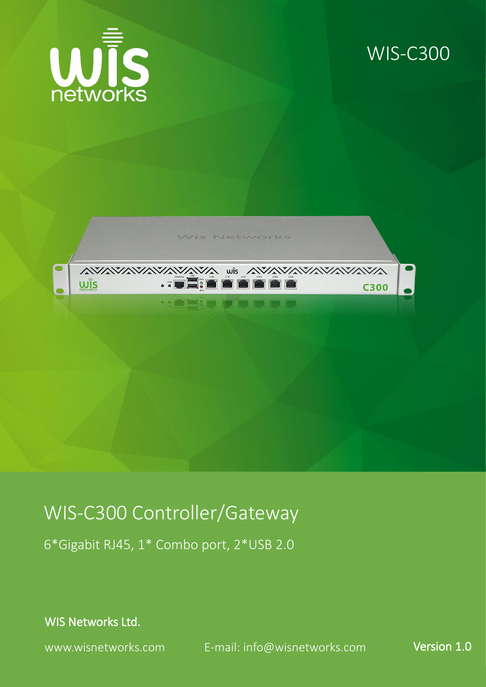

## WIS-C300



## WIS-C300 Controller/Gateway

6\*Gigabit RJ45, 1\* Combo port, 2\*USB 2.0

WIS Networks Ltd.

www.wisnetworks.com E-mail: [info@wisnetworks.com](mailto:info@wisnetworks.com) Version 1.0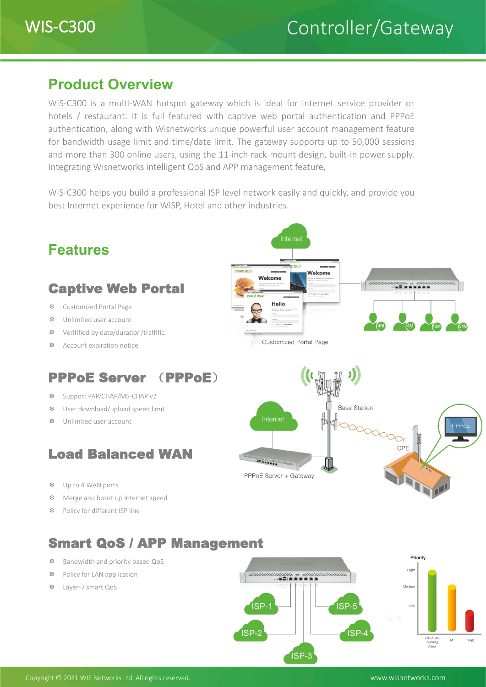

### **Product Overview**

WIS-C300 is a multi-WAN hotspot gateway which is ideal for Internet service provider or hotels / restaurant. It is full featured with captive web portal authentication and PPPoE authentication, along with Wisnetworks unique powerful user account management feature for bandwidth usage limit and time/date limit. The gateway supports up to 50,000 sessions and more than 300 online users, using the 11-inch rack-mount design, built-in power supply. Integrating Wisnetworks intelligent QoS and APP management feature,

WIS-C300 helps you build a professional ISP level network easily and quickly, and provide you best Internet experience for WISP, Hotel and other industries.



ISP-3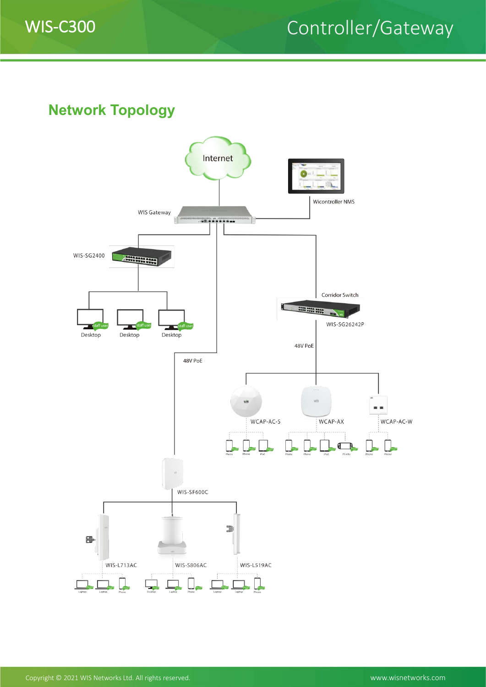

# WIS-C300 Controller/Gateway

**Network Topology**

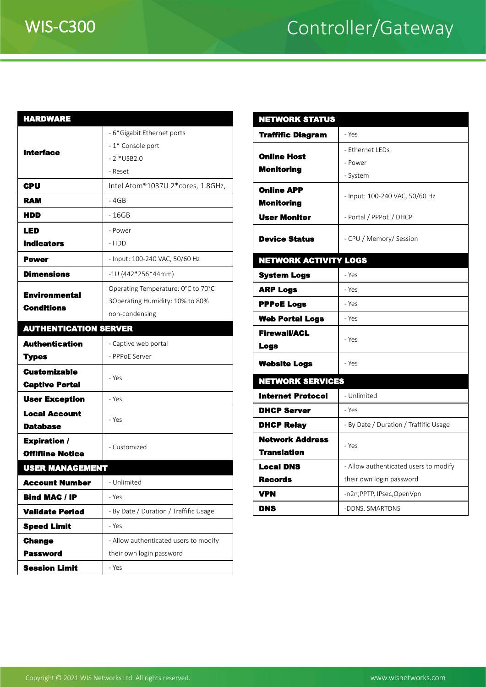# WIS-C300 Controller/Gateway

| <b>HARDWARE</b>              |                                        | <b>NETWORKS</b>                         |
|------------------------------|----------------------------------------|-----------------------------------------|
| <b>Interface</b>             | - 6*Gigabit Ethernet ports             | <b>Traffific Dia</b>                    |
|                              | - 1* Console port                      |                                         |
|                              | $-2$ *USB2.0                           | <b>Online Host</b>                      |
|                              | - Reset                                | <b>Monitoring</b>                       |
| CPU                          | Intel Atom®1037U 2*cores, 1.8GHz,      | <b>Online APP</b>                       |
| <b>RAM</b>                   | - 4GB                                  | <b>Monitoring</b>                       |
| HDD                          | $-16GB$                                | <b>User Monito</b>                      |
| LED                          | - Power                                |                                         |
| <b>Indicators</b>            | - HDD                                  | <b>Device State</b>                     |
| <b>Power</b>                 | - Input: 100-240 VAC, 50/60 Hz         | <b>NETWORK A</b>                        |
| <b>Dimensions</b>            | $-10(442*256*44mm)$                    | <b>System Logs</b>                      |
| <b>Environmental</b>         | Operating Temperature: 0°C to 70°C     | <b>ARP Logs</b>                         |
| <b>Conditions</b>            | 3Operating Humidity: 10% to 80%        | <b>PPPoE Logs</b>                       |
|                              | non-condensing                         | <b>Web Portal</b>                       |
| <b>AUTHENTICATION SERVER</b> |                                        | <b>Firewall/ACI</b>                     |
| <b>Authentication</b>        | - Captive web portal                   | <b>Logs</b>                             |
| <b>Types</b>                 | - PPPoE Server                         | <b>Website Log</b>                      |
| <b>Customizable</b>          | - Yes                                  | <b>NETWORKS</b>                         |
| <b>Captive Portal</b>        |                                        | <b>Internet Pro</b>                     |
| <b>User Exception</b>        | - Yes                                  |                                         |
| <b>Local Account</b>         | - Yes                                  | <b>DHCP Serve</b>                       |
| <b>Database</b>              |                                        | <b>DHCP Relay</b>                       |
| <b>Expiration /</b>          | - Customized                           | <b>Network Ad</b><br><b>Translation</b> |
| <b>Offifiine Notice</b>      |                                        |                                         |
| <b>USER MANAGEMENT</b>       |                                        | <b>Local DNS</b><br><b>Records</b>      |
| <b>Account Number</b>        | - Unlimited                            |                                         |
| <b>Bind MAC / IP</b>         | - Yes                                  | <b>VPN</b>                              |
| <b>Validate Period</b>       | - By Date / Duration / Traffific Usage | <b>DNS</b>                              |
| <b>Speed Limit</b>           | - Yes                                  |                                         |
| <b>Change</b>                | - Allow authenticated users to modify  |                                         |
| <b>Password</b>              | their own login password               |                                         |
| <b>Session Limit</b>         | - Yes                                  |                                         |

| <b>NETWORK STATUS</b>                  |                                        |  |  |  |  |
|----------------------------------------|----------------------------------------|--|--|--|--|
| <b>Traffific Diagram</b>               | - Yes                                  |  |  |  |  |
| <b>Online Host</b>                     | - Ethernet LEDs                        |  |  |  |  |
| <b>Monitoring</b>                      | - Power                                |  |  |  |  |
|                                        | - System                               |  |  |  |  |
| <b>Online APP</b><br><b>Monitoring</b> | - Input: 100-240 VAC, 50/60 Hz         |  |  |  |  |
| <b>User Monitor</b>                    | - Portal / PPPoE / DHCP                |  |  |  |  |
| <b>Device Status</b>                   | - CPU / Memory/ Session                |  |  |  |  |
| <b>NETWORK ACTIVITY LOGS</b>           |                                        |  |  |  |  |
| <b>System Logs</b>                     | - Yes                                  |  |  |  |  |
| <b>ARP Logs</b>                        | - Yes                                  |  |  |  |  |
| <b>PPPoE Logs</b>                      | - Yes                                  |  |  |  |  |
| <b>Web Portal Logs</b>                 | - Yes                                  |  |  |  |  |
| <b>Firewall/ACL</b><br><b>Logs</b>     | - Yes                                  |  |  |  |  |
| <b>Website Logs</b>                    | - Yes                                  |  |  |  |  |
| <b>NETWORK SERVICES</b>                |                                        |  |  |  |  |
| <b>Internet Protocol</b>               | - Unlimited                            |  |  |  |  |
| <b>DHCP Server</b>                     | - Yes                                  |  |  |  |  |
| <b>DHCP Relay</b>                      | - By Date / Duration / Traffific Usage |  |  |  |  |
| <b>Network Address</b>                 |                                        |  |  |  |  |
| <b>Translation</b>                     | - Yes                                  |  |  |  |  |
| <b>Local DNS</b>                       | - Allow authenticated users to modify  |  |  |  |  |
| <b>Records</b>                         | their own login password               |  |  |  |  |
| <b>VPN</b>                             | -n2n, PPTP, IPsec, OpenVpn             |  |  |  |  |
| <b>DNS</b>                             | -DDNS, SMARTDNS                        |  |  |  |  |